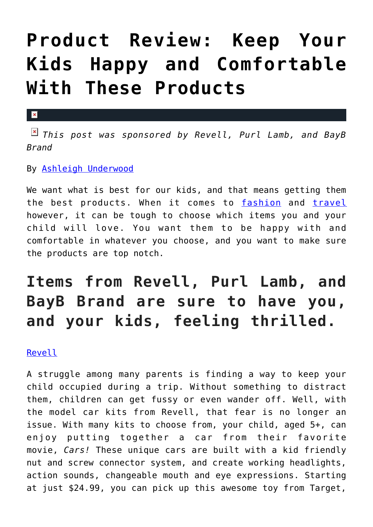## **[Product Review: Keep Your](https://cupidspulse.com/120964/product-review-keep-kids-happy-comfortable-products/) [Kids Happy and Comfortable](https://cupidspulse.com/120964/product-review-keep-kids-happy-comfortable-products/) [With These Products](https://cupidspulse.com/120964/product-review-keep-kids-happy-comfortable-products/)**

## $\mathbf{x}$

*This post was sponsored by Revell, Purl Lamb, and BayB Brand*

By [Ashleigh Underwood](http://cupidspulse.com/120629/ashleigh-underwood/)

We want what is best for our kids, and that means getting them the best products. When it comes to [fashion](http://cupidspulse.com/fashion/) and [travel](http://cupidspulse.com/travel/) however, it can be tough to choose which items you and your child will love. You want them to be happy with and comfortable in whatever you choose, and you want to make sure the products are top notch.

## **Items from Revell, Purl Lamb, and BayB Brand are sure to have you, and your kids, feeling thrilled.**

[Revell](http://www.revell.com/model-kits/cars/)

A struggle among many parents is finding a way to keep your child occupied during a trip. Without something to distract them, children can get fussy or even wander off. Well, with the model car kits from Revell, that fear is no longer an issue. With many kits to choose from, your child, aged 5+, can enjoy putting together a car from their favorite movie, *Cars!* These unique cars are built with a kid friendly nut and screw connector system, and create working headlights, action sounds, changeable mouth and eye expressions. Starting at just \$24.99, you can pick up this awesome toy from Target,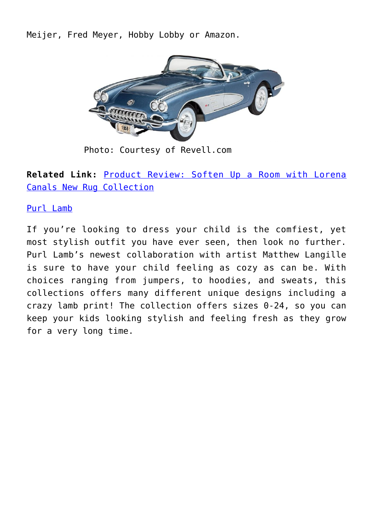Meijer, Fred Meyer, Hobby Lobby or Amazon.



Photo: Courtesy of Revell.com

**Related Link:** [Product Review: Soften Up a Room with Lorena](http://cupidspulse.com/119975/product-review-lorena-canals-new-rug-collection/) [Canals New Rug Collection](http://cupidspulse.com/119975/product-review-lorena-canals-new-rug-collection/)

## [Purl Lamb](https://purllamb.com/)

If you're looking to dress your child is the comfiest, yet most stylish outfit you have ever seen, then look no further. Purl Lamb's newest collaboration with artist Matthew Langille is sure to have your child feeling as cozy as can be. With choices ranging from jumpers, to hoodies, and sweats, this collections offers many different unique designs including a crazy lamb print! The collection offers sizes 0-24, so you can keep your kids looking stylish and feeling fresh as they grow for a very long time.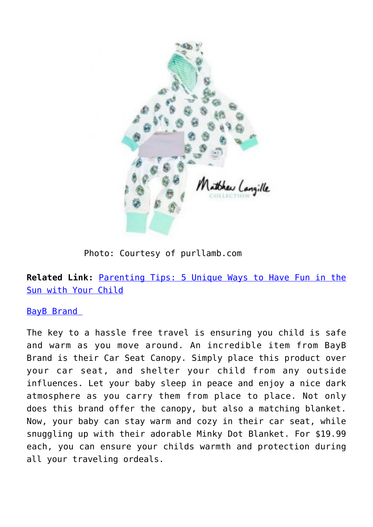

Photo: Courtesy of purllamb.com

**Related Link:** [Parenting Tips: 5 Unique Ways to Have Fun in the](http://cupidspulse.com/119538/parenting-tips-unique-fun-sun-child/) [Sun with Your Child](http://cupidspulse.com/119538/parenting-tips-unique-fun-sun-child/)

[BayB Brand](https://baybbrand.com/) 

The key to a hassle free travel is ensuring you child is safe and warm as you move around. An incredible item from BayB Brand is their Car Seat Canopy. Simply place this product over your car seat, and shelter your child from any outside influences. Let your baby sleep in peace and enjoy a nice dark atmosphere as you carry them from place to place. Not only does this brand offer the canopy, but also a matching blanket. Now, your baby can stay warm and cozy in their car seat, while snuggling up with their adorable Minky Dot Blanket. For \$19.99 each, you can ensure your childs warmth and protection during all your traveling ordeals.